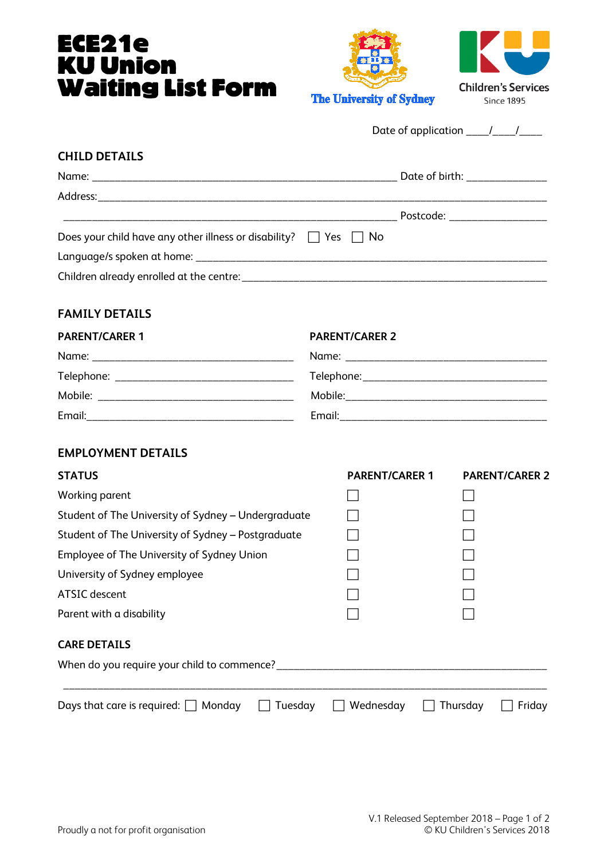# ECE21e KU Union Waiting List Form





| Date of application |  |  |
|---------------------|--|--|
|                     |  |  |

#### **CHILD DETAILS**

|                                                                            | Date of birth: ________________ |
|----------------------------------------------------------------------------|---------------------------------|
|                                                                            |                                 |
|                                                                            | Postcode: ___________________   |
| Does your child have any other illness or disability? $\Box$ Yes $\Box$ No |                                 |
|                                                                            |                                 |
|                                                                            |                                 |

# **FAMILY DETAILS**

# **PARENT/CARER 1 PARENT/CARER 2** Name: \_\_\_\_\_\_\_\_\_\_\_\_\_\_\_\_\_\_\_\_\_\_\_\_\_\_\_\_\_\_\_\_\_\_\_ Name: \_\_\_\_\_\_\_\_\_\_\_\_\_\_\_\_\_\_\_\_\_\_\_\_\_\_\_\_\_\_\_\_\_\_\_ Telephone: \_\_\_\_\_\_\_\_\_\_\_\_\_\_\_\_\_\_\_\_\_\_\_\_\_\_\_\_\_\_\_ Telephone:\_\_\_\_\_\_\_\_\_\_\_\_\_\_\_\_\_\_\_\_\_\_\_\_\_\_\_\_\_\_\_\_ Mobile: \_\_\_\_\_\_\_\_\_\_\_\_\_\_\_\_\_\_\_\_\_\_\_\_\_\_\_\_\_\_\_\_\_\_ Mobile:\_\_\_\_\_\_\_\_\_\_\_\_\_\_\_\_\_\_\_\_\_\_\_\_\_\_\_\_\_\_\_\_\_\_\_ Email:\_\_\_\_\_\_\_\_\_\_\_\_\_\_\_\_\_\_\_\_\_\_\_\_\_\_\_\_\_\_\_\_\_\_\_\_ Email:\_\_\_\_\_\_\_\_\_\_\_\_\_\_\_\_\_\_\_\_\_\_\_\_\_\_\_\_\_\_\_\_\_\_\_\_

# **EMPLOYMENT DETAILS**

| <b>STATUS</b>                                        | <b>PARENT/CARER 1</b> | <b>PARENT/CARER 2</b> |
|------------------------------------------------------|-----------------------|-----------------------|
| Working parent                                       |                       |                       |
| Student of The University of Sydney - Undergraduate  |                       |                       |
| Student of The University of Sydney - Postgraduate   |                       |                       |
| Employee of The University of Sydney Union           |                       |                       |
| University of Sydney employee                        |                       |                       |
| ATSIC descent                                        |                       |                       |
| Parent with a disability                             |                       |                       |
| <b>CARE DETAILS</b>                                  |                       |                       |
| When do you require your child to commence?          |                       |                       |
| Days that care is required: $\Box$ Monday<br>Tuesday | Wednesday             | Thursday<br>Friday    |